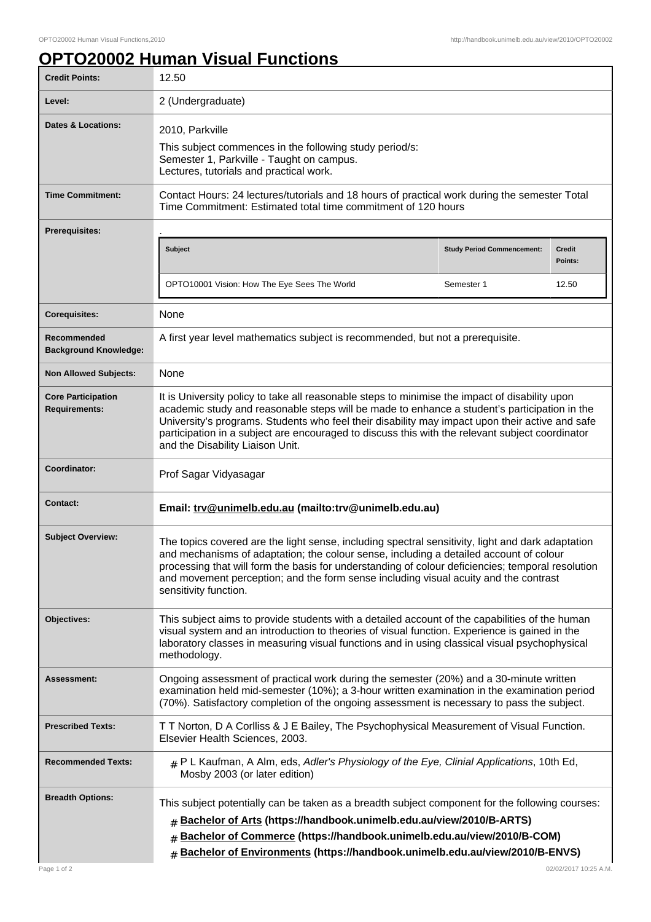## **OPTO20002 Human Visual Functions**

| <b>Credit Points:</b>                             | 12.50                                                                                                                                                                                                                                                                                                                                                                                                                                    |                                   |                          |
|---------------------------------------------------|------------------------------------------------------------------------------------------------------------------------------------------------------------------------------------------------------------------------------------------------------------------------------------------------------------------------------------------------------------------------------------------------------------------------------------------|-----------------------------------|--------------------------|
| Level:                                            | 2 (Undergraduate)                                                                                                                                                                                                                                                                                                                                                                                                                        |                                   |                          |
| Dates & Locations:                                | 2010, Parkville<br>This subject commences in the following study period/s:<br>Semester 1, Parkville - Taught on campus.<br>Lectures, tutorials and practical work.                                                                                                                                                                                                                                                                       |                                   |                          |
| <b>Time Commitment:</b>                           | Contact Hours: 24 lectures/tutorials and 18 hours of practical work during the semester Total<br>Time Commitment: Estimated total time commitment of 120 hours                                                                                                                                                                                                                                                                           |                                   |                          |
| <b>Prerequisites:</b>                             |                                                                                                                                                                                                                                                                                                                                                                                                                                          |                                   |                          |
|                                                   | Subject                                                                                                                                                                                                                                                                                                                                                                                                                                  | <b>Study Period Commencement:</b> | <b>Credit</b><br>Points: |
|                                                   | OPTO10001 Vision: How The Eye Sees The World                                                                                                                                                                                                                                                                                                                                                                                             | Semester 1                        | 12.50                    |
| <b>Corequisites:</b>                              | None                                                                                                                                                                                                                                                                                                                                                                                                                                     |                                   |                          |
| Recommended<br><b>Background Knowledge:</b>       | A first year level mathematics subject is recommended, but not a prerequisite.                                                                                                                                                                                                                                                                                                                                                           |                                   |                          |
| <b>Non Allowed Subjects:</b>                      | None                                                                                                                                                                                                                                                                                                                                                                                                                                     |                                   |                          |
| <b>Core Participation</b><br><b>Requirements:</b> | It is University policy to take all reasonable steps to minimise the impact of disability upon<br>academic study and reasonable steps will be made to enhance a student's participation in the<br>University's programs. Students who feel their disability may impact upon their active and safe<br>participation in a subject are encouraged to discuss this with the relevant subject coordinator<br>and the Disability Liaison Unit. |                                   |                          |
| Coordinator:                                      | Prof Sagar Vidyasagar                                                                                                                                                                                                                                                                                                                                                                                                                    |                                   |                          |
| <b>Contact:</b>                                   | Email: trv@unimelb.edu.au (mailto:trv@unimelb.edu.au)                                                                                                                                                                                                                                                                                                                                                                                    |                                   |                          |
| <b>Subject Overview:</b>                          | The topics covered are the light sense, including spectral sensitivity, light and dark adaptation<br>and mechanisms of adaptation; the colour sense, including a detailed account of colour<br>processing that will form the basis for understanding of colour deficiencies; temporal resolution<br>and movement perception; and the form sense including visual acuity and the contrast<br>sensitivity function.                        |                                   |                          |
| Objectives:                                       | This subject aims to provide students with a detailed account of the capabilities of the human<br>visual system and an introduction to theories of visual function. Experience is gained in the<br>laboratory classes in measuring visual functions and in using classical visual psychophysical<br>methodology.                                                                                                                         |                                   |                          |
| Assessment:                                       | Ongoing assessment of practical work during the semester (20%) and a 30-minute written<br>examination held mid-semester (10%); a 3-hour written examination in the examination period<br>(70%). Satisfactory completion of the ongoing assessment is necessary to pass the subject.                                                                                                                                                      |                                   |                          |
| <b>Prescribed Texts:</b>                          | T T Norton, D A Corlliss & J E Bailey, The Psychophysical Measurement of Visual Function.<br>Elsevier Health Sciences, 2003.                                                                                                                                                                                                                                                                                                             |                                   |                          |
| <b>Recommended Texts:</b>                         | $#$ P L Kaufman, A Alm, eds, Adler's Physiology of the Eye, Clinial Applications, 10th Ed,<br>Mosby 2003 (or later edition)                                                                                                                                                                                                                                                                                                              |                                   |                          |
| <b>Breadth Options:</b>                           | This subject potentially can be taken as a breadth subject component for the following courses:<br># Bachelor of Arts (https://handbook.unimelb.edu.au/view/2010/B-ARTS)<br>Bachelor of Commerce (https://handbook.unimelb.edu.au/view/2010/B-COM)<br>Bachelor of Environments (https://handbook.unimelb.edu.au/view/2010/B-ENVS)<br>#                                                                                                   |                                   |                          |